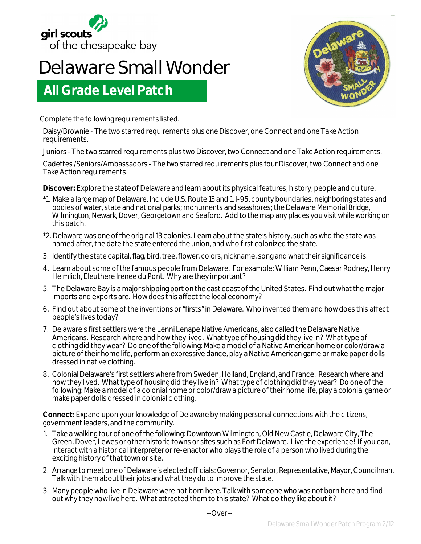

## **Delaware Small Wonder**

## **All Grade Level Patch**

Complete the following requirements listed.

Daisy/Brownie - The two starred requirements plus one Discover, one Connect and one Take Action requirements.

Juniors - The two starred requirements plus two Discover, two Connect and one Take Action requirements.

Cadettes /Seniors/Ambassadors - The two starred requirements plus four Discover, two Connect and one Take Action requirements.

**Discover:** Explore the state of Delaware and learn about its physical features, history, people and culture.

- \*1. Make a large map of Delaware. Include U.S. Route 13 and 1, I-95, county boundaries, neighboring states and bodies of water, state and national parks; monuments and seashores; the Delaware Memorial Bridge, Wilmington, Newark, Dover, Georgetown and Seaford. Add to the map any places you visit while working on this patch.
- \*2. Delaware was one of the original 13 colonies. Learn about the state's history, such as who the state was named after, the date the state entered the union, and who first colonized the state.
- 3. Identify the state capital, flag, bird, tree, flower, colors, nickname, song and what their significance is.
- 4. Learn about some of the famous people from Delaware. For example: William Penn, Caesar Rodney, Henry Heimlich, Eleuthere Irenee du Pont. Why are they important?
- 5. The Delaware Bay is a major shipping port on the east coast of the United States. Find out what the major imports and exports are. How does this affect the local economy?
- 6. Find out about some of the inventions or "firsts" in Delaware. Who invented them and how does this affect people's lives today?
- 7. Delaware's first settlers were the Lenni Lenape Native Americans, also called the Delaware Native Americans. Research where and how they lived. What type of housing did they live in? What type of clothing did they wear? Do one of the following: Make a model of a Native American home or color/draw a picture of their home life, perform an expressive dance, play a Native American game or make paper dolls dressed in native clothing.
- 8. Colonial Delaware's first settlers where from Sweden, Holland, England, and France. Research where and how they lived. What type of housing did they live in? What type of clothing did they wear? Do one of the following: Make a model of a colonial home or color/draw a picture of their home life, play a colonial game or make paper dolls dressed in colonial clothing.

**Connect:** Expand upon your knowledge of Delaware by making personal connections with the citizens, government leaders, and the community.

- 1. Take a walking tour of one of the following: Downtown Wilmington, Old New Castle, Delaware City, The Green, Dover, Lewes or other historic towns or sites such as Fort Delaware. Live the experience! If you can, interact with a historical interpreter or re-enactor who plays the role of a person who lived during the exciting history of that town or site.
- 2. Arrange to meet one of Delaware's elected officials: Governor, Senator, Representative, Mayor, Councilman. Talk with them about their jobs and what they do to improve the state.
- 3. Many people who live in Delaware were not born here. Talk with someone who was not born here and find out why they now live here. What attracted them to this state? What do they like about it?